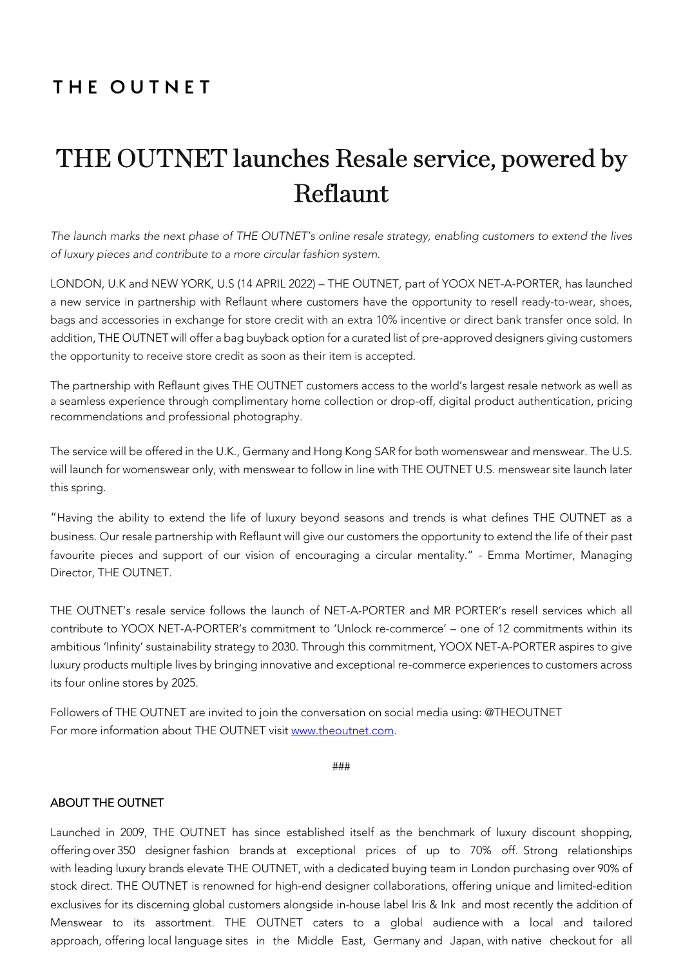# THE OUTNET

# THE OUTNET launches Resale service, powered by Reflaunt

*The launch marks the next phase of THE OUTNET's online resale strategy, enabling customers to extend the lives of luxury pieces and contribute to a more circular fashion system.*

LONDON, U.K and NEW YORK, U.S (14 APRIL 2022) – THE OUTNET, part of YOOX NET-A-PORTER, has launched a new service in partnership with Reflaunt where customers have the opportunity to resell ready-to-wear, shoes, bags and accessories in exchange for store credit with an extra 10% incentive or direct bank transfer once sold. In addition, THE OUTNET will offer a bag buyback option for a curated list of pre-approved designers giving customers the opportunity to receive store credit as soon as their item is accepted.

The partnership with Reflaunt gives THE OUTNET customers access to the world's largest resale network as well as a seamless experience through complimentary home collection or drop-off, digital product authentication, pricing recommendations and professional photography.

The service will be offered in the U.K., Germany and Hong Kong SAR for both womenswear and menswear. The U.S. will launch for womenswear only, with menswear to follow in line with THE OUTNET U.S. menswear site launch later this spring.

"Having the ability to extend the life of luxury beyond seasons and trends is what defines THE OUTNET as a business. Our resale partnership with Reflaunt will give our customers the opportunity to extend the life of their past favourite pieces and support of our vision of encouraging a circular mentality." - Emma Mortimer, Managing Director, THE OUTNET.

THE OUTNET's resale service follows the launch of NET-A-PORTER and MR PORTER's resell services which all contribute to YOOX NET-A-PORTER's commitment to 'Unlock re-commerce' – one of 12 commitments within its ambitious 'Infinity' sustainability strategy to 2030. Through this commitment, YOOX NET-A-PORTER aspires to give luxury products multiple lives by bringing innovative and exceptional re-commerce experiences to customers across its four online stores by 2025.

Followers of THE OUTNET are invited to join the conversation on social media using: @THEOUTNET For more information about THE OUTNET visit www.theoutnet.com.

###

#### ABOUT THE OUTNET

Launched in 2009, THE OUTNET has since established itself as the benchmark of luxury discount shopping, offering over 350 designer fashion brands at exceptional prices of up to 70% off. Strong relationships with leading luxury brands elevate THE OUTNET, with a dedicated buying team in London purchasing over 90% of stock direct. THE OUTNET is renowned for high-end designer collaborations, offering unique and limited-edition exclusives for its discerning global customers alongside in-house label Iris & Ink and most recently the addition of Menswear to its assortment. THE OUTNET caters to a global audience with a local and tailored approach, offering local language sites in the Middle East, Germany and Japan, with native checkout for all